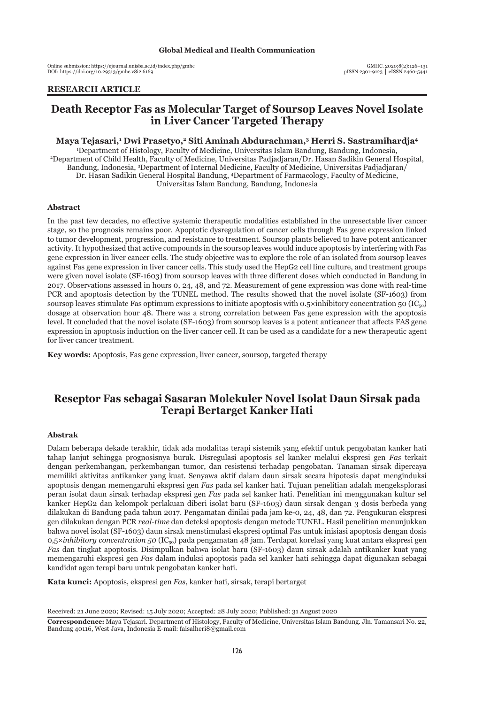Online submission: https://ejournal.unisba.ac.id/index.php/gmhc DOI: pISSN 2301-9123 │ eISSN 2460-5441 https://doi.org/10.29313/gmhc.v8i2.6169

## **RESEARCH ARTICLE**

# **Death Receptor Fas as Molecular Target of Soursop Leaves Novel Isolate in Liver Cancer Targeted Therapy**

**Maya Tejasari,1 Dwi Prasetyo,2 Siti Aminah Abdurachman,3 Herri S. Sastramihardja4** 1 Department of Histology, Faculty of Medicine, Universitas Islam Bandung, Bandung, Indonesia, 2 Department of Child Health, Faculty of Medicine, Universitas Padjadjaran/Dr. Hasan Sadikin General Hospital, Bandung, Indonesia, 3 Department of Internal Medicine, Faculty of Medicine, Universitas Padjadjaran/ Dr. Hasan Sadikin General Hospital Bandung, 4 Department of Farmacology, Faculty of Medicine,

Universitas Islam Bandung, Bandung, Indonesia

#### **Abstract**

In the past few decades, no effective systemic therapeutic modalities established in the unresectable liver cancer stage, so the prognosis remains poor. Apoptotic dysregulation of cancer cells through Fas gene expression linked to tumor development, progression, and resistance to treatment. Soursop plants believed to have potent anticancer activity. It hypothesized that active compounds in the soursop leaves would induce apoptosis by interfering with Fas gene expression in liver cancer cells. The study objective was to explore the role of an isolated from soursop leaves against Fas gene expression in liver cancer cells. This study used the HepG2 cell line culture, and treatment groups were given novel isolate (SF-1603) from soursop leaves with three different doses which conducted in Bandung in 2017. Observations assessed in hours 0, 24, 48, and 72. Measurement of gene expression was done with real-time PCR and apoptosis detection by the TUNEL method. The results showed that the novel isolate (SF-1603) from soursop leaves stimulate Fas optimum expressions to initiate apoptosis with  $0.5 \times$ inhibitory concentration 50 (IC<sub>50</sub>) dosage at observation hour 48. There was a strong correlation between Fas gene expression with the apoptosis level. It concluded that the novel isolate (SF-1603) from soursop leaves is a potent anticancer that affects FAS gene expression in apoptosis induction on the liver cancer cell. It can be used as a candidate for a new therapeutic agent for liver cancer treatment.

**Key words:** Apoptosis, Fas gene expression, liver cancer, soursop, targeted therapy

# **Reseptor Fas sebagai Sasaran Molekuler Novel Isolat Daun Sirsak pada Terapi Bertarget Kanker Hati**

### **Abstrak**

Dalam beberapa dekade terakhir, tidak ada modalitas terapi sistemik yang efektif untuk pengobatan kanker hati tahap lanjut sehingga prognosisnya buruk. Disregulasi apoptosis sel kanker melalui ekspresi gen *Fas* terkait dengan perkembangan, perkembangan tumor, dan resistensi terhadap pengobatan. Tanaman sirsak dipercaya memiliki aktivitas antikanker yang kuat. Senyawa aktif dalam daun sirsak secara hipotesis dapat menginduksi apoptosis dengan memengaruhi ekspresi gen *Fas* pada sel kanker hati. Tujuan penelitian adalah mengeksplorasi peran isolat daun sirsak terhadap ekspresi gen *Fas* pada sel kanker hati. Penelitian ini menggunakan kultur sel kanker HepG2 dan kelompok perlakuan diberi isolat baru (SF-1603) daun sirsak dengan 3 dosis berbeda yang dilakukan di Bandung pada tahun 2017. Pengamatan dinilai pada jam ke-0, 24, 48, dan 72. Pengukuran ekspresi gen dilakukan dengan PCR *real-time* dan deteksi apoptosis dengan metode TUNEL. Hasil penelitian menunjukkan bahwa novel isolat (SF-1603) daun sirsak menstimulasi ekspresi optimal Fas untuk inisiasi apoptosis dengan dosis 0,5×*inhibitory concentration 50* (IC50) pada pengamatan 48 jam. Terdapat korelasi yang kuat antara ekspresi gen *Fas* dan tingkat apoptosis. Disimpulkan bahwa isolat baru (SF-1603) daun sirsak adalah antikanker kuat yang memengaruhi ekspresi gen *Fas* dalam induksi apoptosis pada sel kanker hati sehingga dapat digunakan sebagai kandidat agen terapi baru untuk pengobatan kanker hati.

**Kata kunci:** Apoptosis, ekspresi gen *Fas*, kanker hati, sirsak, terapi bertarget

Received: 21 June 2020; Revised: 15 July 2020; Accepted: 28 July 2020; Published: 31 August 2020

**Correspondence:** Maya Tejasari. Department of Histology, Faculty of Medicine, Universitas Islam Bandung. Jln. Tamansari No. 22, Bandung 40116, West Java, Indonesia E-mail: faisalheri8@gmail.com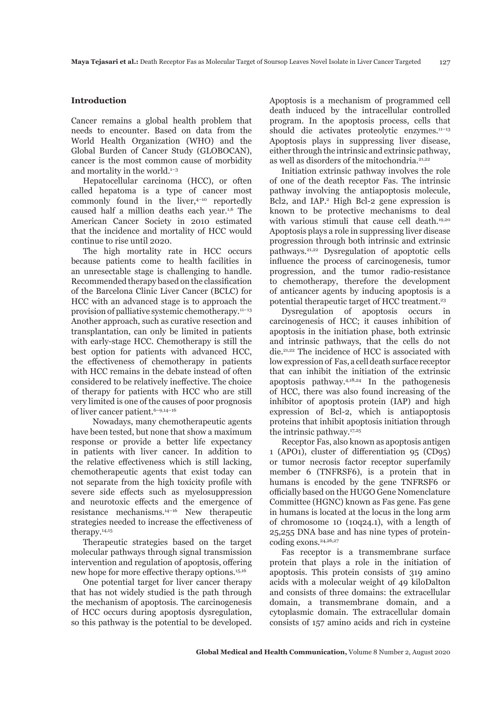#### **Introduction**

Cancer remains a global health problem that needs to encounter. Based on data from the World Health Organization (WHO) and the Global Burden of Cancer Study (GLOBOCAN), cancer is the most common cause of morbidity and mortality in the world. $1-3$ 

Hepatocellular carcinoma (HCC), or often called hepatoma is a type of cancer most commonly found in the liver, $4-10$  reportedly caused half a million deaths each year.1,6 The American Cancer Society in 2010 estimated that the incidence and mortality of HCC would continue to rise until 2020.

The high mortality rate in HCC occurs because patients come to health facilities in an unresectable stage is challenging to handle. Recommended therapy based on the classification of the Barcelona Clinic Liver Cancer (BCLC) for HCC with an advanced stage is to approach the provision of palliative systemic chemotherapy.11–13 Another approach, such as curative resection and transplantation, can only be limited in patients with early-stage HCC. Chemotherapy is still the best option for patients with advanced HCC, the effectiveness of chemotherapy in patients with HCC remains in the debate instead of often considered to be relatively ineffective. The choice of therapy for patients with HCC who are still very limited is one of the causes of poor prognosis of liver cancer patient.<sup>6-9,14-16</sup>

 Nowadays, many chemotherapeutic agents have been tested, but none that show a maximum response or provide a better life expectancy in patients with liver cancer. In addition to the relative effectiveness which is still lacking, chemotherapeutic agents that exist today can not separate from the high toxicity profile with severe side effects such as myelosuppression and neurotoxic effects and the emergence of resistance mechanisms.14–16 New therapeutic strategies needed to increase the effectiveness of therapy.14,15

Therapeutic strategies based on the target molecular pathways through signal transmission intervention and regulation of apoptosis, offering new hope for more effective therapy options.15,16

One potential target for liver cancer therapy that has not widely studied is the path through the mechanism of apoptosis. The carcinogenesis of HCC occurs during apoptosis dysregulation, so this pathway is the potential to be developed.

Apoptosis is a mechanism of programmed cell death induced by the intracellular controlled program. In the apoptosis process, cells that should die activates proteolytic enzymes.<sup>11-13</sup> Apoptosis plays in suppressing liver disease, either through the intrinsic and extrinsic pathway, as well as disorders of the mitochondria.<sup>21,22</sup>

Initiation extrinsic pathway involves the role of one of the death receptor Fas. The intrinsic pathway involving the antiapoptosis molecule, Bcl2, and IAP.<sup>2</sup> High Bcl-2 gene expression is known to be protective mechanisms to deal with various stimuli that cause cell death.<sup>19,20</sup> Apoptosis plays a role in suppressing liver disease progression through both intrinsic and extrinsic pathways.21,22 Dysregulation of apoptotic cells influence the process of carcinogenesis, tumor progression, and the tumor radio-resistance to chemotherapy, therefore the development of anticancer agents by inducing apoptosis is a potential therapeutic target of HCC treatment.23

Dysregulation of apoptosis occurs in carcinogenesis of HCC; it causes inhibition of apoptosis in the initiation phase, both extrinsic and intrinsic pathways, that the cells do not die.21,22 The incidence of HCC is associated with low expression of Fas, a cell death surface receptor that can inhibit the initiation of the extrinsic apoptosis pathway.4,18,24 In the pathogenesis of HCC, there was also found increasing of the inhibitor of apoptosis protein (IAP) and high expression of Bcl-2, which is antiapoptosis proteins that inhibit apoptosis initiation through the intrinsic pathway.17,25

Receptor Fas, also known as apoptosis antigen 1 (APO1), cluster of differentiation 95 (CD95) or tumor necrosis factor receptor superfamily member 6 (TNFRSF6), is a protein that in humans is encoded by the gene TNFRSF6 or officially based on the HUGO Gene Nomenclature Committee (HGNC) known as Fas gene. Fas gene in humans is located at the locus in the long arm of chromosome 10 (10q24.1), with a length of 25,255 DNA base and has nine types of proteincoding exons.<sup>24,26,27</sup>

Fas receptor is a transmembrane surface protein that plays a role in the initiation of apoptosis. This protein consists of 319 amino acids with a molecular weight of 49 kiloDalton and consists of three domains: the extracellular domain, a transmembrane domain, and a cytoplasmic domain. The extracellular domain consists of 157 amino acids and rich in cysteine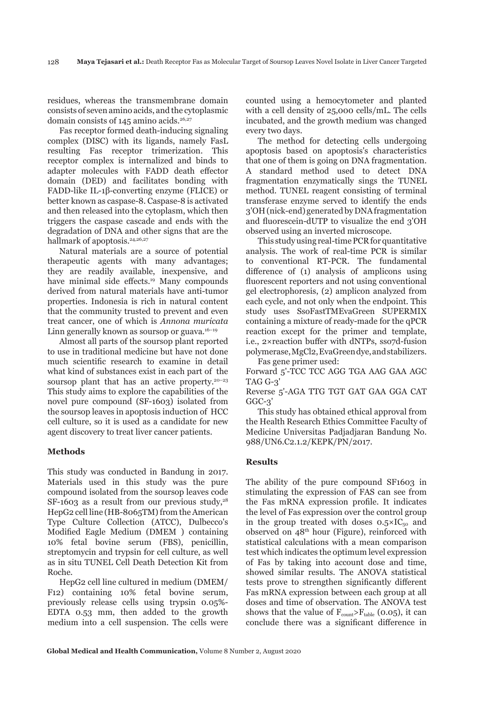residues, whereas the transmembrane domain consists of seven amino acids, and the cytoplasmic domain consists of  $145$  amino acids.<sup>26,27</sup>

Fas receptor formed death-inducing signaling complex (DISC) with its ligands, namely FasL resulting Fas receptor trimerization. This receptor complex is internalized and binds to adapter molecules with FADD death effector domain (DED) and facilitates bonding with FADD-like IL-1β-converting enzyme (FLICE) or better known as caspase-8. Caspase-8 is activated and then released into the cytoplasm, which then triggers the caspase cascade and ends with the degradation of DNA and other signs that are the hallmark of apoptosis.<sup>24,26,27</sup>

Natural materials are a source of potential therapeutic agents with many advantages; they are readily available, inexpensive, and have minimal side effects.<sup>19</sup> Many compounds derived from natural materials have anti-tumor properties. Indonesia is rich in natural content that the community trusted to prevent and even treat cancer, one of which is *Annona muricata* Linn generally known as soursop or guava. $16-19$ 

Almost all parts of the soursop plant reported to use in traditional medicine but have not done much scientific research to examine in detail what kind of substances exist in each part of the soursop plant that has an active property.<sup>20-23</sup> This study aims to explore the capabilities of the novel pure compound (SF-1603) isolated from the soursop leaves in apoptosis induction of HCC cell culture, so it is used as a candidate for new agent discovery to treat liver cancer patients.

#### **Methods**

This study was conducted in Bandung in 2017. Materials used in this study was the pure compound isolated from the soursop leaves code SF-1603 as a result from our previous study, $28$ HepG2 cell line (HB-8065TM) from the American Type Culture Collection (ATCC), Dulbecco's Modified Eagle Medium (DMEM ) containing 10% fetal bovine serum (FBS), penicillin, streptomycin and trypsin for cell culture, as well as in situ TUNEL Cell Death Detection Kit from Roche.

HepG2 cell line cultured in medium (DMEM/ F12) containing 10% fetal bovine serum, previously release cells using trypsin 0.05%- EDTA 0.53 mm, then added to the growth medium into a cell suspension. The cells were counted using a hemocytometer and planted with a cell density of 25,000 cells/mL. The cells incubated, and the growth medium was changed every two days.

The method for detecting cells undergoing apoptosis based on apoptosis's characteristics that one of them is going on DNA fragmentation. A standard method used to detect DNA fragmentation enzymatically sings the TUNEL method. TUNEL reagent consisting of terminal transferase enzyme served to identify the ends 3'OH (nick-end) generated by DNA fragmentation and fluorescein-dUTP to visualize the end 3'OH observed using an inverted microscope.

This study using real-time PCR for quantitative analysis. The work of real-time PCR is similar to conventional RT-PCR. The fundamental difference of (1) analysis of amplicons using fluorescent reporters and not using conventional gel electrophoresis, (2) amplicon analyzed from each cycle, and not only when the endpoint. This study uses SsoFastTMEvaGreen SUPERMIX containing a mixture of ready-made for the qPCR reaction except for the primer and template, i.e., 2×reaction buffer with dNTPs, sso7d-fusion polymerase, MgCl2, EvaGreen dye, and stabilizers. Fas gene primer used:

Forward 5'-TCC TCC AGG TGA AAG GAA AGC TAG G-3'

Reverse 5'-AGA TTG TGT GAT GAA GGA CAT GGC-3'

This study has obtained ethical approval from the Health Research Ethics Committee Faculty of Medicine Universitas Padjadjaran Bandung No. 988/UN6.C2.1.2/KEPK/PN/2017.

#### **Results**

The ability of the pure compound SF1603 in stimulating the expression of FAS can see from the Fas mRNA expression profile. It indicates the level of Fas expression over the control group in the group treated with doses  $0.5 \times IC_{50}$  and observed on  $48<sup>th</sup>$  hour (Figure), reinforced with statistical calculations with a mean comparison test which indicates the optimum level expression of Fas by taking into account dose and time, showed similar results. The ANOVA statistical tests prove to strengthen significantly different Fas mRNA expression between each group at all doses and time of observation. The ANOVA test shows that the value of  $F_{\text{count}} > F_{\text{table}}$  (0.05), it can conclude there was a significant difference in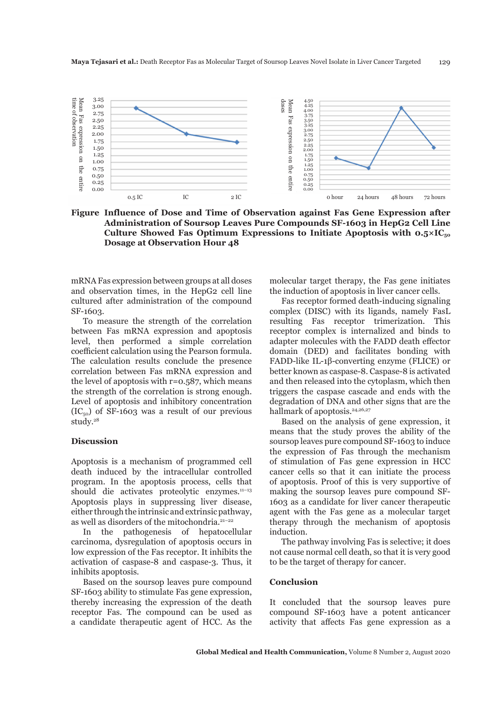

**Figure Influence of Dose and Time of Observation against Fas Gene Expression after Administration of Soursop Leaves Pure Compounds SF-1603 in HepG2 Cell Line**  Culture Showed Fas Optimum Expressions to Initiate Apoptosis with  $0.5 \times IC_{50}$ **Dosage at Observation Hour 48**

mRNA Fas expression between groups at all doses and observation times, in the HepG2 cell line cultured after administration of the compound SF-1603.

To measure the strength of the correlation between Fas mRNA expression and apoptosis level, then performed a simple correlation coefficient calculation using the Pearson formula. The calculation results conclude the presence correlation between Fas mRNA expression and the level of apoptosis with  $r=0.587$ , which means the strength of the correlation is strong enough. Level of apoptosis and inhibitory concentration  $(IC_{50})$  of SF-1603 was a result of our previous study.<sup>28</sup>

#### **Discussion**

Apoptosis is a mechanism of programmed cell death induced by the intracellular controlled program. In the apoptosis process, cells that should die activates proteolytic enzymes.<sup>11-13</sup> Apoptosis plays in suppressing liver disease, either through the intrinsic and extrinsic pathway, as well as disorders of the mitochondria.<sup>21-22</sup>

In the pathogenesis of hepatocellular carcinoma, dysregulation of apoptosis occurs in low expression of the Fas receptor. It inhibits the activation of caspase-8 and caspase-3. Thus, it inhibits apoptosis.

Based on the soursop leaves pure compound SF-1603 ability to stimulate Fas gene expression, thereby increasing the expression of the death receptor Fas. The compound can be used as a candidate therapeutic agent of HCC. As the

molecular target therapy, the Fas gene initiates the induction of apoptosis in liver cancer cells.

Fas receptor formed death-inducing signaling complex (DISC) with its ligands, namely FasL resulting Fas receptor trimerization. This receptor complex is internalized and binds to adapter molecules with the FADD death effector domain (DED) and facilitates bonding with FADD-like IL-1β-converting enzyme (FLICE) or better known as caspase-8. Caspase-8 is activated and then released into the cytoplasm, which then triggers the caspase cascade and ends with the degradation of DNA and other signs that are the hallmark of apoptosis.<sup>24,26,27</sup>

Based on the analysis of gene expression, it means that the study proves the ability of the soursop leaves pure compound SF-1603 to induce the expression of Fas through the mechanism of stimulation of Fas gene expression in HCC cancer cells so that it can initiate the process of apoptosis. Proof of this is very supportive of making the soursop leaves pure compound SF-1603 as a candidate for liver cancer therapeutic agent with the Fas gene as a molecular target therapy through the mechanism of apoptosis induction.

The pathway involving Fas is selective; it does not cause normal cell death, so that it is very good to be the target of therapy for cancer.

## **Conclusion**

It concluded that the soursop leaves pure compound SF-1603 have a potent anticancer activity that affects Fas gene expression as a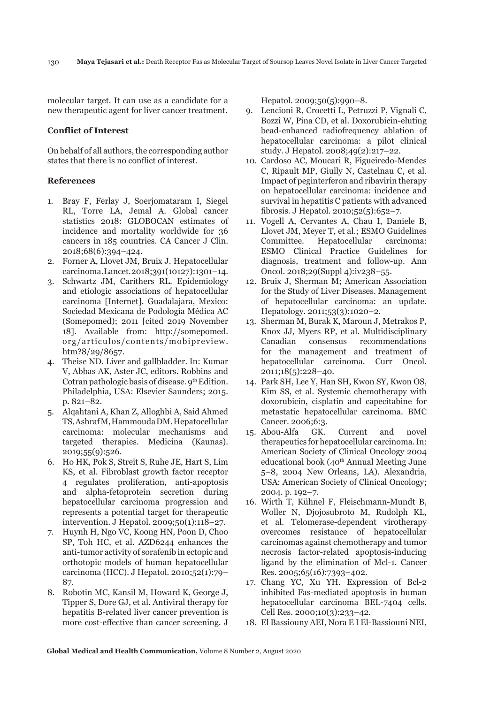molecular target. It can use as a candidate for a new therapeutic agent for liver cancer treatment.

### **Conflict of Interest**

On behalf of all authors, the corresponding author states that there is no conflict of interest.

## **References**

- 1. Bray F, Ferlay J, Soerjomataram I, Siegel RL, Torre LA, Jemal A. Global cancer statistics 2018: GLOBOCAN estimates of incidence and mortality worldwide for 36 cancers in 185 countries. CA Cancer J Clin. 2018;68(6):394–424.
- 2. Forner A, Llovet JM, Bruix J. Hepatocellular carcinoma. Lancet. 2018;391(10127):1301–14.
- 3. Schwartz JM, Carithers RL. Epidemiology and etiologic associations of hepatocellular carcinoma [Internet]. Guadalajara, Mexico: Sociedad Mexicana de Podología Médica AC (Somepomed); 2011 [cited 2019 November 18]. Available from: http://somepomed. org/articulos/contents/mobipreview. htm?8/29/8657.
- 4. Theise ND. Liver and gallbladder. In: Kumar V, Abbas AK, Aster JC, editors. Robbins and Cotran pathologic basis of disease. 9th Edition. Philadelphia, USA: Elsevier Saunders; 2015. p. 821–82.
- 5. Alqahtani A, Khan Z, Alloghbi A, Said Ahmed TS, Ashraf M, Hammouda DM. Hepatocellular carcinoma: molecular mechanisms and targeted therapies. Medicina (Kaunas). 2019;55(9):526.
- 6. Ho HK, Pok S, Streit S, Ruhe JE, Hart S, Lim KS, et al. Fibroblast growth factor receptor 4 regulates proliferation, anti-apoptosis and alpha-fetoprotein secretion during hepatocellular carcinoma progression and represents a potential target for therapeutic intervention. J Hepatol. 2009;50(1):118–27.
- 7. Huynh H, Ngo VC, Koong HN, Poon D, Choo SP, Toh HC, et al. AZD6244 enhances the anti-tumor activity of sorafenib in ectopic and orthotopic models of human hepatocellular carcinoma (HCC). J Hepatol. 2010;52(1):79– 87.
- 8. Robotin MC, Kansil M, Howard K, George J, Tipper S, Dore GJ, et al. Antiviral therapy for hepatitis B-related liver cancer prevention is more cost-effective than cancer screening. J

Hepatol. 2009;50(5):990–8.

- 9. Lencioni R, Crocetti L, Petruzzi P, Vignali C, Bozzi W, Pina CD, et al. Doxorubicin-eluting bead-enhanced radiofrequency ablation of hepatocellular carcinoma: a pilot clinical study. J Hepatol. 2008;49(2):217–22.
- 10. Cardoso AC, Moucari R, Figueiredo-Mendes C, Ripault MP, Giully N, Castelnau C, et al. Impact of peginterferon and ribavirin therapy on hepatocellular carcinoma: incidence and survival in hepatitis C patients with advanced fibrosis. J Hepatol. 2010;52(5):652–7.
- 11. Vogell A, Cervantes A, Chau I, Daniele B, Llovet JM, Meyer T, et al.; ESMO Guidelines Committee. Hepatocellular carcinoma: ESMO Clinical Practice Guidelines for diagnosis, treatment and follow-up. Ann Oncol. 2018;29(Suppl 4):iv238–55.
- 12. Bruix J, Sherman M; American Association for the Study of Liver Diseases. Management of hepatocellular carcinoma: an update. Hepatology. 2011;53(3):1020–2.
- 13. Sherman M, Burak K, Maroun J, Metrakos P, Knox JJ, Myers RP, et al. Multidisciplinary Canadian consensus recommendations for the management and treatment of hepatocellular carcinoma. Curr Oncol. 2011;18(5):228–40.
- 14. Park SH, Lee Y, Han SH, Kwon SY, Kwon OS, Kim SS, et al. Systemic chemotherapy with doxorubicin, cisplatin and capecitabine for metastatic hepatocellular carcinoma. BMC Cancer. 2006;6:3.
- 15. Abou-Alfa GK. Current and novel therapeutics for hepatocellular carcinoma. In: American Society of Clinical Oncology 2004 educational book (40th Annual Meeting June 5–8, 2004 New Orleans, LA). Alexandria, USA: American Society of Clinical Oncology; 2004. p. 192–7.
- 16. Wirth T, Kühnel F, Fleischmann-Mundt B, Woller N, Djojosubroto M, Rudolph KL, et al. Telomerase-dependent virotherapy overcomes resistance of hepatocellular carcinomas against chemotherapy and tumor necrosis factor-related apoptosis-inducing ligand by the elimination of Mcl-1. Cancer Res. 2005;65(16):7393–402.
- 17. Chang YC, Xu YH. Expression of Bcl-2 inhibited Fas-mediated apoptosis in human hepatocellular carcinoma BEL-7404 cells. Cell Res. 2000;10(3):233–42.
- 18. El Bassiouny AEI, Nora E I El-Bassiouni NEI,